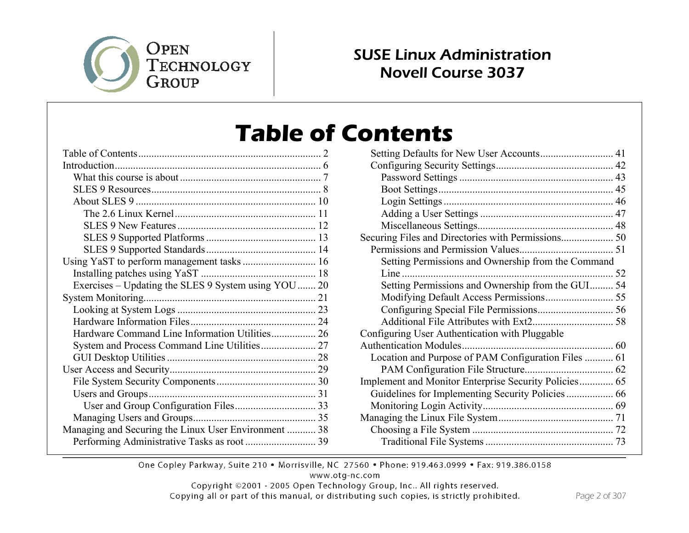

#### SUSE Linux Administration Novell Course 3037

# **Table of Contents**

| Exercises – Updating the SLES 9 System using YOU  20 |  |
|------------------------------------------------------|--|
|                                                      |  |
|                                                      |  |
|                                                      |  |
| Hardware Command Line Information Utilities 26       |  |
|                                                      |  |
|                                                      |  |
|                                                      |  |
|                                                      |  |
|                                                      |  |
|                                                      |  |
|                                                      |  |
| Managing and Securing the Linux User Environment  38 |  |
|                                                      |  |

| Setting Defaults for New User Accounts 41             |  |
|-------------------------------------------------------|--|
|                                                       |  |
|                                                       |  |
|                                                       |  |
|                                                       |  |
|                                                       |  |
|                                                       |  |
| Securing Files and Directories with Permissions 50    |  |
|                                                       |  |
| Setting Permissions and Ownership from the Command    |  |
|                                                       |  |
| Setting Permissions and Ownership from the GUI 54     |  |
|                                                       |  |
|                                                       |  |
|                                                       |  |
| Configuring User Authentication with Pluggable        |  |
|                                                       |  |
| Location and Purpose of PAM Configuration Files  61   |  |
|                                                       |  |
| Implement and Monitor Enterprise Security Policies 65 |  |
| Guidelines for Implementing Security Policies  66     |  |
|                                                       |  |
|                                                       |  |
|                                                       |  |
|                                                       |  |
|                                                       |  |

One Copley Parkway, Suite 210 . Morrisville, NC 27560 . Phone: 919.463.0999 . Fax: 919.386.0158

www.otg-nc.com

Copyright ©2001 - 2005 Open Technology Group, Inc.. All rights reserved.

Copying all or part of this manual, or distributing such copies, is strictly prohibited.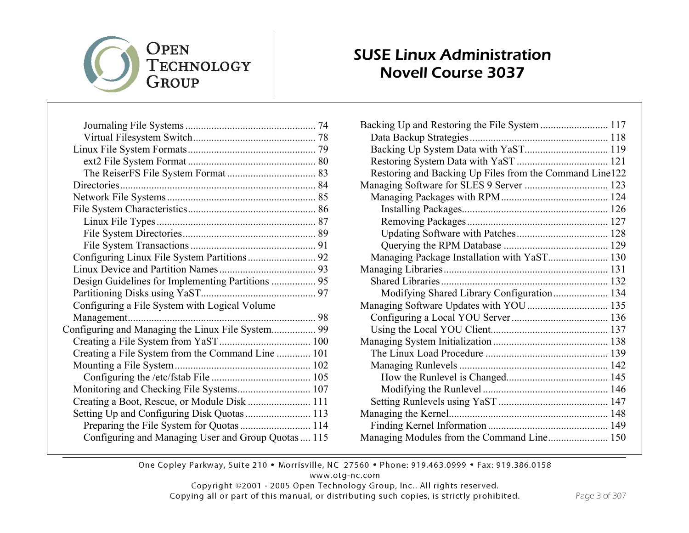## OPEN TECHNOLOGY GROUP

| Configuring a File System with Logical Volume       |  |
|-----------------------------------------------------|--|
| Management                                          |  |
| Configuring and Managing the Linux File System 99   |  |
|                                                     |  |
| Creating a File System from the Command Line  101   |  |
|                                                     |  |
|                                                     |  |
| Monitoring and Checking File Systems 107            |  |
| Creating a Boot, Rescue, or Module Disk  111        |  |
| Setting Up and Configuring Disk Quotas  113         |  |
| Preparing the File System for Quotas  114           |  |
| Configuring and Managing User and Group Quotas  115 |  |
|                                                     |  |

#### SUSE Linux Administration Novell Course 3037

| Backing Up and Restoring the File System  117           |  |
|---------------------------------------------------------|--|
|                                                         |  |
|                                                         |  |
|                                                         |  |
| Restoring and Backing Up Files from the Command Line122 |  |
|                                                         |  |
|                                                         |  |
|                                                         |  |
|                                                         |  |
|                                                         |  |
|                                                         |  |
| Managing Package Installation with YaST 130             |  |
|                                                         |  |
|                                                         |  |
| Modifying Shared Library Configuration 134              |  |
|                                                         |  |
|                                                         |  |
|                                                         |  |
|                                                         |  |
|                                                         |  |
|                                                         |  |
|                                                         |  |
|                                                         |  |
|                                                         |  |
|                                                         |  |
|                                                         |  |
|                                                         |  |
|                                                         |  |

One Copley Parkway, Suite 210 . Morrisville, NC 27560 . Phone: 919.463.0999 . Fax: 919.386.0158

www.otg-nc.com

Copyright ©2001 - 2005 Open Technology Group, Inc.. All rights reserved.

Copying all or part of this manual, or distributing such copies, is strictly prohibited.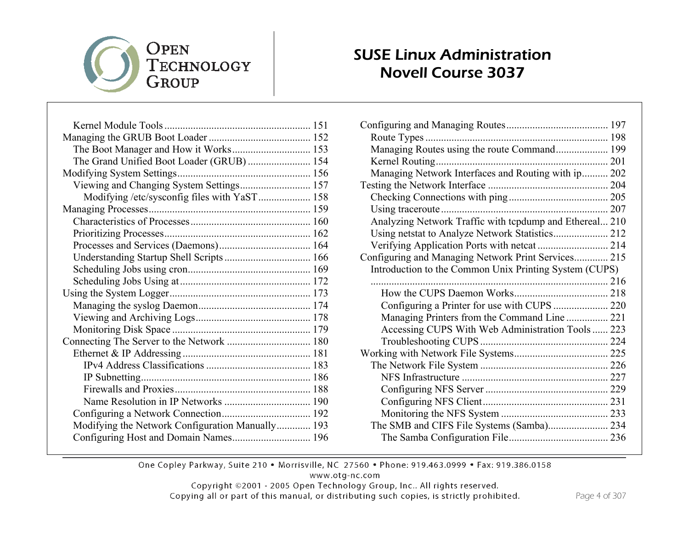

#### SUSE Linux Administration Novell Course 3037

| The Boot Manager and How it Works 153            |  |
|--------------------------------------------------|--|
| The Grand Unified Boot Loader (GRUB)  154        |  |
|                                                  |  |
| Viewing and Changing System Settings 157         |  |
| Modifying /etc/sysconfig files with YaST 158     |  |
|                                                  |  |
|                                                  |  |
|                                                  |  |
|                                                  |  |
|                                                  |  |
|                                                  |  |
|                                                  |  |
|                                                  |  |
|                                                  |  |
|                                                  |  |
|                                                  |  |
| Connecting The Server to the Network  180        |  |
|                                                  |  |
|                                                  |  |
|                                                  |  |
|                                                  |  |
|                                                  |  |
|                                                  |  |
| Modifying the Network Configuration Manually 193 |  |
| Configuring Host and Domain Names 196            |  |

| Managing Routes using the route Command 199             |  |
|---------------------------------------------------------|--|
|                                                         |  |
| Managing Network Interfaces and Routing with ip 202     |  |
|                                                         |  |
|                                                         |  |
|                                                         |  |
| Analyzing Network Traffic with tcpdump and Ethereal 210 |  |
|                                                         |  |
|                                                         |  |
| Configuring and Managing Network Print Services 215     |  |
| Introduction to the Common Unix Printing System (CUPS)  |  |
|                                                         |  |
|                                                         |  |
| Configuring a Printer for use with CUPS  220            |  |
| Managing Printers from the Command Line  221            |  |
| Accessing CUPS With Web Administration Tools  223       |  |
|                                                         |  |
|                                                         |  |
|                                                         |  |
|                                                         |  |
|                                                         |  |
|                                                         |  |
|                                                         |  |
|                                                         |  |
|                                                         |  |
|                                                         |  |

One Copley Parkway, Suite 210 . Morrisville, NC 27560 . Phone: 919.463.0999 . Fax: 919.386.0158

www.otg-nc.com

Copyright ©2001 - 2005 Open Technology Group, Inc.. All rights reserved.

Copying all or part of this manual, or distributing such copies, is strictly prohibited.